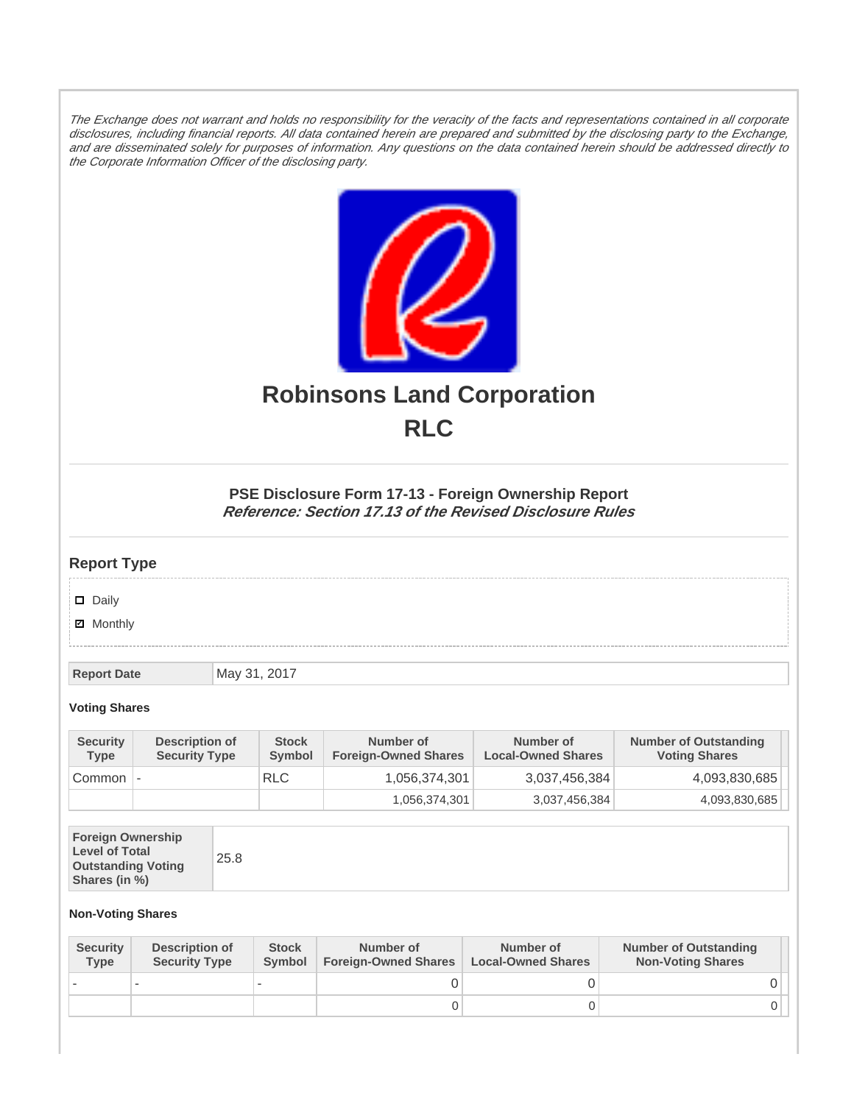The Exchange does not warrant and holds no responsibility for the veracity of the facts and representations contained in all corporate disclosures, including financial reports. All data contained herein are prepared and submitted by the disclosing party to the Exchange, and are disseminated solely for purposes of information. Any questions on the data contained herein should be addressed directly to the Corporate Information Officer of the disclosing party.



# **Robinsons Land Corporation RLC**

## **PSE Disclosure Form 17-13 - Foreign Ownership Report Reference: Section 17.13 of the Revised Disclosure Rules**

## **Report Type**

Daily

**Ø** Monthly

**Report Date** May 31, 2017

#### **Voting Shares**

| <b>Security</b><br><b>Type</b> | Description of<br><b>Security Type</b> | <b>Stock</b><br>Symbol | Number of<br><b>Foreign-Owned Shares</b> | Number of<br><b>Local-Owned Shares</b> | <b>Number of Outstanding</b><br><b>Voting Shares</b> |
|--------------------------------|----------------------------------------|------------------------|------------------------------------------|----------------------------------------|------------------------------------------------------|
| Common                         | $\overline{\phantom{a}}$               | <b>RLC</b>             | 1,056,374,301                            | 3,037,456,384                          | 4,093,830,685                                        |
|                                |                                        |                        | 1,056,374,301                            | 3,037,456,384                          | 4,093,830,685                                        |

| <b>Foreign Ownership</b><br><b>Level of Total</b><br>25.8<br><b>Outstanding Voting</b><br>Shares (in %) |  |
|---------------------------------------------------------------------------------------------------------|--|
|---------------------------------------------------------------------------------------------------------|--|

### **Non-Voting Shares**

| <b>Security</b><br><b>Type</b> | Description of<br><b>Security Type</b> | <b>Stock</b><br><b>Symbol</b> | Number of<br><b>Foreign-Owned Shares</b> | Number of<br><b>Local-Owned Shares</b> | <b>Number of Outstanding</b><br><b>Non-Voting Shares</b> |
|--------------------------------|----------------------------------------|-------------------------------|------------------------------------------|----------------------------------------|----------------------------------------------------------|
|                                |                                        |                               |                                          |                                        |                                                          |
|                                |                                        |                               | O                                        |                                        |                                                          |